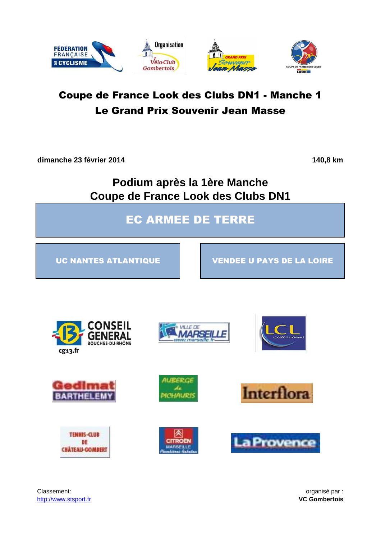

**dimanche 23 février 2014 140,8 km**

**Podium après la 1ère Manche Coupe de France Look des Clubs DN1**

EC ARMEE DE TERRE

UC NANTES ATLANTIQUE VENDEE U PAYS DE LA LOIRE





**VILLE DE** *AARSEII* 















Classement: **organisé par :**  $\overline{a}$  organisé par : http://www.stsport.fr **VC Gombertois**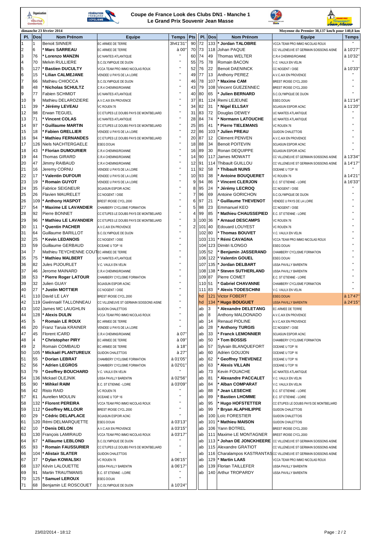





**A**<br>**B** GRAND PRIX

|     | <b>Gombertois</b> |                                         |                                         |                    |                |         |         |                            | Jean Masse                                                        |              |
|-----|-------------------|-----------------------------------------|-----------------------------------------|--------------------|----------------|---------|---------|----------------------------|-------------------------------------------------------------------|--------------|
|     |                   | dimanche 23 février 2014                |                                         |                    |                |         |         |                            | Moyenne du Premier 38,137 km/h pour 140,8 km                      |              |
| PI. | Dos               | <b>Nom Prénom</b>                       | <b>Equipe</b>                           | <b>Temps</b>       | Pts            | PI.     | Dos     | <b>Nom Prénom</b>          | Equipe                                                            | <b>Temps</b> |
| 1   |                   | <b>Benoit SINNER</b>                    | EC ARMEE DE TERRE                       | 3h41'31            | 90             | 72      | 133     | <b>Jordan TALOBRE</b>      | VCCA TEAM PRO IMMO NICOLAS ROUX                                   | $\mathbf{H}$ |
| 2   | 6                 | <b>Marc SARREAU</b>                     | EC ARMEE DE TERRE                       | à 00'              | 70             | 73      | 118     | Johan PAQUE                | CC VILLENEUVE ST GERMAIN SOISSONS AISNE                           | à 10'27'     |
| 3   | 76                | <b>Lorenzo MANZIN</b>                   | UC NANTES ATLANTIQUE                    |                    | 60             | 74      | 49      | <b>Thomas WELTER</b>       | C.R.4 CHEMINS/ROANNE                                              | à 10'32'     |
| 4   | 70                | Melvin RULLIERE                         | S.C.OLYMPIQUE DE DIJON                  | $\mathbf{u}$       | 55             | 75      | 78      | Romain BACON               | V.C. VAULX EN VELIN                                               |              |
| 5   | 127               | <b>Bastien DUCULTY</b>                  | VCCA TEAM PRO IMMO NICOLAS ROUX         | $\mathbf{H}$       | 52             | 76      | 22      | <b>Benoit DAENINCK</b>     | CC NOGENT / OISE                                                  | à 10'33'     |
| 6   | 15                | <b>Lilian CALMEJANE</b>                 | VENDEE U PAYS DE LA LOIRE               | $\mathbf{u}$       | 49             | 77      | 13      | Anthony PEREZ              | A.V.C.AIX EN PROVENCE                                             |              |
| 7   | 66                | Mathieu CHIOCCA                         |                                         | $\bar{\mathbf{H}}$ | 46             | 78      | 107     | <b>Maxime CAM</b>          |                                                                   |              |
|     |                   |                                         | S.C.OLYMPIQUE DE DIJON                  | $\mathbf{u}$       |                |         | 108     |                            | BREST IROISE CYCL.2000                                            |              |
| 8   | 48                | Nicholas SCHULTZ                        | C.R.4 CHEMINS/ROANNE                    | $\mathbf{u}$       | 43             | 79      |         | Vincent GUEZENNEC          | BREST IROISE CYCL.2000                                            |              |
| 9   | 77                | Fabien SCHMIDT                          | UC NANTES ATLANTIQUE                    | $\mathbf{H}$       | 40             | 80      | 65      | <b>Julien BERNARD</b>      | S.C.OLYMPIQUE DE DIJON                                            |              |
| 10  | 9                 | Mathieu DELAROZIERE                     | A.V.C.AIX EN PROVENCE                   |                    | 37             | 81      | 124     | Remi LEJEUNE               | <b>ESEG DOUAI</b>                                                 | à 11'14'     |
| 11  | 39                | Jérémy LEVEAU                           | VC ROUEN 76                             | Ĥ,                 | 34             | 82      | 31      | Nigel ELLSAY               | SOJASUN ESPOIR ACNC                                               | à 11'20'     |
| 12  | 98                | Erwan TEGUEL                            | CC ETUPES LE DOUBS PAYS DE MONTBELIARD  |                    | 31             | 83      | 72      | Douglas DEWEY              | <b>UC NANTES ATLANTIQUE</b>                                       |              |
| 13  | 71                | <b>Vincent COLAS</b>                    | UC NANTES ATLANTIQUE                    | $\mathbf{u}$       | 28             | 84      | 74      | Normann LATOUCHE           | UC NANTES ATLANTIQUE                                              |              |
| 14  | 97                | <b>Guillaume MARTIN</b>                 | CC ETUPES LE DOUBS PAYS DE MONTBELIARD  | $\mathbf{H}$       | 25             | 85      | 41      | <b>Pierre TIELEMANS</b>    | VC ROUEN 76                                                       |              |
| 15  | 18                | <b>Fabien GRELLIER</b>                  | VENDEE U PAYS DE LA LOIRE               | $\bar{\mathbf{H}}$ | 22             | 86      | 103     | Julien PREAU               | <b>GUIDON CHALETTOIS</b>                                          |              |
| 16  | 94                | <b>Mathieu FERNANDES</b>                | CC ETUPES LE DOUBS PAYS DE MONTBELIARD  | $\mathbf{H}$       | 20             | 87      | 12      | Clément PENVEN             | A.V.C.AIX EN PROVENCE                                             |              |
| 17  | 126               | Niels NACHTERGAELE                      | <b>ESEG DOUAI</b>                       | $\mathbf{u}$       | 18             | 88      | 34      | <b>Benoit POITEVIN</b>     | SOJASUN ESPOIR ACNC                                               |              |
| 18  | 43                | <b>Florian DUMOURIER</b>                | C.R.4 CHEMINS/ROANNE                    | $\bar{\mathbf{H}}$ | 16             | 89      | 30      | Ronan DEQUIPPE             | SOJASUN ESPOIR ACNC                                               |              |
| 19  | 44                | <b>Thomas GIRARD</b>                    | C.R.4 CHEMINS/ROANNE                    | $\mathbf{u}$       | 14             | 90      | 117     | <b>James MOWATT</b>        | CC VILLENEUVE ST GERMAIN SOISSONS AISNE                           | à 13'34'     |
| 20  | 47                | Jimmy RAIBAUD                           | C.R.4 CHEMINS/ROANNE                    | Ĥ,                 | 12             | 91      | 114     | Thibault GUILLOU           | CC VILLENEUVE ST GERMAIN SOISSONS AISNE                           | à 14'17'     |
| 21  | 16                | Jeremy CORNU                            | VENDEE U PAYS DE LA LOIRE               | $\bar{\mathbf{H}}$ | 11             | 92      | 58      | Thibault NUNS              | OCEANE U TOP 16                                                   |              |
|     |                   |                                         |                                         | $\bar{\mathbf{H}}$ |                |         |         |                            |                                                                   |              |
| 22  | 17                | <b>Valentin DUFOUR</b>                  | VENDEE U PAYS DE LA LOIRE               | $\mathbf{H}$       | 10             | 93      | 38      | <b>Antoine BOUQUERET</b>   | VC ROUEN 76                                                       | à 14'21"     |
| 23  | 19                | <b>Romain GUYOT</b>                     | VENDEE U PAYS DE LA LOIRE               | $\mathbf{u}$       | 9              | 94      | 86      | Vincent CLERJON            | E.C. ST ETIENNE - LOIRE                                           | à 16'33'     |
| 24  | 35                | <b>Fabrice SEIGNEUR</b>                 | SOJASUN ESPOIR ACNC                     |                    | 8              | 95      | 24      | Jérémy LECROQ              | CC NOGENT / OISE                                                  |              |
| 25  | 26                | <b>Flavien MAURELET</b>                 | CC NOGENT / OISE                        | Ĥ,                 | $\overline{7}$ | 96      | 69      | <b>Antoine GORICHON</b>    | S.C.OLYMPIQUE DE DIJON                                            |              |
| 26  | 109               | <b>Anthony HASPOT</b>                   | BREST IROISE CYCL.2000                  | $\mathbf{H}$       | 6              | 97      | 21      | <b>Guillaume THEVENOT</b>  | VENDEE U PAYS DE LA LOIRE                                         |              |
| 27  | 54                | <b>Maxime LE LAVANDIER</b>              | CHAMBERY CYCLISME FORMATION             |                    | 5              | 98      | 23      | <b>Emmanuel KEO</b>        | CC NOGENT / OISE                                                  |              |
| 28  | 92                | Pierre BONNET                           | CC ETUPES LE DOUBS PAYS DE MONTBELIARD  |                    | Δ              | 99      | 85      | <b>Mathieu CHAUSSEPIED</b> | E.C. ST ETIENNE - LOIRE                                           |              |
| 29  | 96                | <b>Mathieu LE LAVANDIER</b>             | CC ETUPES LE DOUBS PAYS DE MONTBELIARD  |                    | 3              | 100     | 36      | <b>Arnaud DESCAMPS</b>     | VC ROUEN 76                                                       |              |
| 30  | 11                | <b>Quentin PACHER</b>                   | A.V.C.AIX EN PROVENCE                   | $\mathbf{u}$       | $\overline{2}$ | 101 40  |         | <b>Edouard LOUYEST</b>     | VC ROUEN 76                                                       |              |
| 31  | 64                | Guillaume BARILLOT                      | S.C.OLYMPIQUE DE DIJON                  | $\bar{\mathbf{H}}$ |                | 102     | 80      | Thomas BOUVET              | V.C. VAULX EN VELIN                                               |              |
| 32  | 25                | <b>Kevin LEDANOIS</b>                   | CC NOGENT / OISE                        | $\mathbf{H}$       |                | 103 131 |         | Rémi CAVAGNA               | VCCA TEAM PRO IMMO NICOLAS ROUX                                   |              |
| 33  | 59                | Guillaume GERBAUD                       | OCEANE U TOP 16                         | Ĥ,                 |                | 104     | 123     | Dimitri ILONGO             | <b>ESEG DOUAI</b>                                                 |              |
| 34  | 17                | Mathieu TEYCHENNE COUTEC ARMEE DE TERRE |                                         | $\mathbf{u}$       |                | 105     | 52      | <b>Benjamin JASSERAND</b>  | CHAMBERY CYCLISME FORMATION                                       |              |
|     |                   |                                         |                                         | $\mathbf{H}$       |                |         |         |                            |                                                                   |              |
| 35  | 75                | <b>Mathieu MALBERT</b>                  | UC NANTES ATLANTIQUE                    | $\mathbf{H}$       |                |         | 106 122 | <b>Valentin GOUEL</b>      | <b>ESEG DOUAI</b>                                                 |              |
| 36  | 82                | Jules PIJOURLET                         | V.C. VAULX EN VELIN                     | $\mathbf{u}$       |                |         | 107 135 | Jordan DELBART             | <b>USSA PAVILLY BARENTIN</b>                                      |              |
| 37  | 46                | Jerome MAINARD                          | C.R.4 CHEMINS/ROANNE                    | $\mathbf{H}$       |                | 108     | 138     | <b>Steven SUTHERLAND</b>   | USSA PAVILLY BARENTIN                                             |              |
| 38  | 53                | <b>Pierre Roger LATOUR</b>              | CHAMBERY CYCLISME FORMATION             |                    |                | 109     | 87      | Pierre COMET               | E.C. ST ETIENNE - LOIRE                                           |              |
| 39  | 32                | Julien GUAY                             | SOJASUN ESPOIR ACNC                     | $\mathbf{H}$       |                | 110 51  |         | <b>Gabriel CHAVANNE</b>    | CHAMBERY CYCLISME FORMATION                                       |              |
| 40  | 27                | <b>Justin MOTTIER</b>                   | CC NOGENT / OISE                        |                    |                | 11      | 83      | <b>Alexis TODESCHINI</b>   | V.C. VAULX EN VELIN                                               |              |
| 41  | 110               | David LE LAY                            | BREST IROISE CYCL.2000                  |                    |                | hd      | 121     | <b>Victor FOBERT</b>       | <b>ESEG DOUAL</b>                                                 | à 17'47"     |
| 42  | 119               | Gwénnaël TALLONNEAU                     | CC VILLENEUVE ST GERMAIN SOISSONS AISNE |                    |                | hd      | 134     | * Hugo BOUGUET             | <b>USSA PAVILLY BARENTIN</b>                                      | à 24'15"     |
| 43  | 102               | James MC LAUGHLIN                       | <b>GUIDON CHALETTOIS</b>                | $\mathbf{u}$       |                | ab      | 3       | Alexandre DELETANG         | EC ARMEE DE TERRE                                                 |              |
| 44  | 128               | <b>Alexis DULIN</b>                     | VCCA TEAM PRO IMMO NICOLAS ROUX         |                    |                | ab      | 8       | Anthony MALDONADO          | A.V.C.AIX EN PROVENCE                                             |              |
| 45  | 5                 | <b>Romain LE ROUX</b>                   | EC ARMEE DE TERRE                       | $\mathbf{H}$       |                | ab      | 14      | Renaud PIOLINE             | A.V.C.AIX EN PROVENCE                                             |              |
| 46  | 20                | Franz Taruia KRAINER                    | VENDEE U PAYS DE LA LOIRE               | $\mathbf{H}$       |                | ab      | 28      | <b>Anthony TURGIS</b>      | CC NOGENT / OISE                                                  |              |
| 47  | 45                | Florent ICARD                           | C.R.4 CHEMINS/ROANNE                    | à 07'              |                | ab      | 33      | <b>Franck LEMONNIER</b>    | SOJASUN ESPOIR ACNC                                               |              |
| 48  | 4                 | <b>Christopher PIRY</b>                 | EC ARMEE DE TERRE                       | à 09'              |                | ab      | 50      | <b>Tom BOSSIS</b>          | CHAMBERY CYCLISME FORMATION                                       |              |
| 49  | $\overline{2}$    | Romain COMBAUD                          |                                         | à 18'              |                | ab      | 57      | Sylvain BLANQUEFORT        |                                                                   |              |
|     | 105               | Mickaël PLANTUREUX                      | EC ARMEE DE TERRE                       | à 27'              |                | ab      | 60      | Adrien GOUJON              | OCEANE U TOP 16                                                   |              |
| 50  |                   |                                         | GUIDON CHALETTOIS                       |                    |                |         |         |                            | OCEANE U TOP 16                                                   |              |
| 51  | 55                | <b>Dorian LEBRAT</b>                    | CHAMBERY CYCLISME FORMATION             | à 01'05'           |                | ab      | 62      | <b>Geoffrey THEVENEZ</b>   | OCEANE U TOP 16                                                   |              |
| 52  | 56                | <b>Adrien LEGROS</b>                    | CHAMBERY CYCLISME FORMATION             | à 02'01'           |                | ab      | 63      | <b>Alexis VILLAIN</b>      | OCEANE U TOP 16                                                   |              |
| 53  | 79                | <b>Geoffrey BOUCHARD</b>                | V.C. VAULX EN VELIN                     |                    |                | ab      | 73      | Kevin FOUACHE              | UC NANTES ATLANTIQUE                                              |              |
| 54  | 136               | Mickael OLEJNIK                         | USSA PAVILLY BARENTIN                   | à 02'56'           |                | ab      | 81      | <b>Alexandre PACCALET</b>  | V.C. VAULX EN VELIN                                               |              |
| 55  | 90                | <b>Mihkel RAIM</b>                      | E.C. ST ETIENNE - LOIRE                 | à 03'09'           |                | ab      | 84      | <b>Alban COMPARAT</b>      | V.C. VAULX EN VELIN                                               |              |
| 56  | 42                | Risto RAID                              | VC ROUEN 76                             |                    |                | ab      | 88      | <b>Jean LESECHE</b>        | E.C. ST ETIENNE - LOIRE                                           |              |
| 57  | 61                | Aurelien MOULIN                         | OCEANE U TOP 16                         |                    |                | ab      | 89      | <b>Bastien LHOMME</b>      | E.C. ST ETIENNE - LOIRE                                           |              |
| 58  | 132               | <b>Florent PEREIRA</b>                  | VCCA TEAM PRO IMMO NICOLAS ROUX         |                    |                | ab      | 95      | <b>Hugo HOFSTETTER</b>     | CC ETUPES LE DOUBS PAYS DE MONTBELIARD                            |              |
| 59  | 112               | <b>Geoffrey MILLOUR</b>                 | BREST IROISE CYCL.2000                  |                    |                | ab      | 99      | <b>Bryan ALAPHILIPPE</b>   | <b>GUIDON CHALETTOIS</b>                                          |              |
| 60  | 29                | <b>Cédric DELAPLACE</b>                 | SOJASUN ESPOIR ACNC                     |                    |                | ab      | 100     | Loïc FORESTIER             | <b>GUIDON CHALETTOIS</b>                                          |              |
| 61  | 120               | Rémi DELMARQUETTE                       | <b>ESEG DOUAI</b>                       | à 03'13'           |                | ab      | 101     | <b>Mathieu MAISON</b>      | <b>GUIDON CHALETTOIS</b>                                          |              |
| 62  | 10                | <b>Denis DELON</b>                      | A.V.C.AIX EN PROVENCE                   | à 03'15            |                | ab      | 106     | Yann BOTREL                | BREST IROISE CYCL.2000                                            |              |
| 63  | 130               | François LAMIRAUD                       | VCCA TEAM PRO IMMO NICOLAS ROUX         | à 03'17'           |                | ab      | 111     | Maxime LE MONTAGNER        | BREST IROISE CYCL.2000                                            |              |
|     | 67                |                                         |                                         |                    |                |         | 113     |                            |                                                                   |              |
| 64  |                   | <b>Alliaume LEBLOND</b>                 | S.C.OLYMPIQUE DE DIJON                  |                    |                | ab      |         |                            | Johan DE JONCKHEERE CC VILLENEUVE ST GERMAIN SOISSONS AISNE       |              |
| 65  | 93                | <b>Romain FAUSSURIER</b>                | CC ETUPES LE DOUBS PAYS DE MONTBELIARD  |                    |                | ab      | 115     | Alexandre GRATIOT          | CC VILLENEUVE ST GERMAIN SOISSONS AISNE                           |              |
| 66  | 104               | <b>Alistair SLATER</b>                  | GUIDON CHALETTOIS                       |                    |                | ab      |         |                            | 116 Charalampos KASTRANTASCC VILLENEUVE ST GERMAIN SOISSONS AISNE |              |
| 67  | 37                | <b>Dylan KOWALSKI</b>                   | VC ROUEN 76                             | à 06'15'           |                | ab      | 129     | <b>Martin LAAS</b>         | VCCA TEAM PRO IMMO NICOLAS ROUX                                   |              |
| 68  | 137               | Kévin LALOUETTE                         | USSA PAVILLY BARENTIN                   | à 06'17'           |                | lab     | 139     | Florian TAILLEFER          | USSA PAVILLY BARENTIN                                             |              |
| 69  | 91                | Martin TRAUTMANIS                       | E.C. ST ETIENNE - LOIRE                 |                    |                | ab      | 140     | <b>Arthur TROPARDY</b>     | USSA PAVILLY BARENTIN                                             |              |
| 70  | 125               | <b>Samuel LEROUX</b>                    | ESEG DOUAI                              |                    |                |         |         |                            |                                                                   |              |
| 71  | 68                | Benjamin LE ROSCOUET                    | S.C.OLYMPIQUE DE DIJON                  | à 10'24'           |                |         |         |                            |                                                                   |              |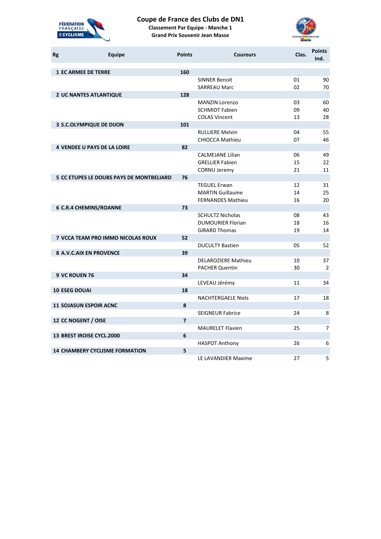

# **Coupe de France des Clubs de DN1**

**Classement Par Equipe - Manche 1 Grand Prix Souvenir Jean Masse**



| <b>Rg</b> | <b>Equipe</b>                                   | <b>Points</b>  | <b>Coureurs</b>            | Clas. | <b>Points</b><br>Ind. |
|-----------|-------------------------------------------------|----------------|----------------------------|-------|-----------------------|
|           | <b>1 EC ARMEE DE TERRE</b>                      | 160            |                            |       |                       |
|           |                                                 |                | <b>SINNER Benoit</b>       | 01    | 90                    |
|           |                                                 |                | <b>SARREAU Marc</b>        | 02    | 70                    |
|           | <b>2 UC NANTES ATLANTIQUE</b>                   | 128            |                            |       |                       |
|           |                                                 |                | <b>MANZIN Lorenzo</b>      | 03    | 60                    |
|           |                                                 |                | <b>SCHMIDT Fabien</b>      | 09    | 40                    |
|           |                                                 |                | <b>COLAS Vincent</b>       | 13    | 28                    |
|           | 3 S.C.OLYMPIQUE DE DIJON                        | 101            |                            |       |                       |
|           |                                                 |                | <b>RULLIERE Melvin</b>     | 04    | 55                    |
|           |                                                 | 82             | <b>CHIOCCA Mathieu</b>     | 07    | 46                    |
|           | <b>4 VENDEE U PAYS DE LA LOIRE</b>              |                | <b>CALMEJANE Lilian</b>    | 06    | 49                    |
|           |                                                 |                | <b>GRELLIER Fabien</b>     | 15    | 22                    |
|           |                                                 |                | <b>CORNU Jeremy</b>        | 21    | 11                    |
|           | <b>5 CC ETUPES LE DOUBS PAYS DE MONTBELIARD</b> | 76             |                            |       |                       |
|           |                                                 |                | <b>TEGUEL Erwan</b>        | 12    | 31                    |
|           |                                                 |                | <b>MARTIN Guillaume</b>    | 14    | 25                    |
|           |                                                 |                | <b>FERNANDES Mathieu</b>   | 16    | 20                    |
|           | <b>6 C.R.4 CHEMINS/ROANNE</b>                   | 73             |                            |       |                       |
|           |                                                 |                | <b>SCHULTZ Nicholas</b>    | 08    | 43                    |
|           |                                                 |                | <b>DUMOURIER Florian</b>   | 18    | 16                    |
|           |                                                 |                | <b>GIRARD Thomas</b>       | 19    | 14                    |
|           | 7 VCCA TEAM PRO IMMO NICOLAS ROUX               | 52             |                            |       |                       |
|           |                                                 |                | <b>DUCULTY Bastien</b>     | 05    | 52                    |
|           | <b>8 A.V.C.AIX EN PROVENCE</b>                  | 39             |                            |       |                       |
|           |                                                 |                | <b>DELAROZIERE Mathieu</b> | 10    | 37                    |
|           |                                                 |                | <b>PACHER Quentin</b>      | 30    | $\overline{2}$        |
|           | 9 VC ROUEN 76                                   | 34             |                            |       |                       |
|           | <b>10 ESEG DOUAI</b>                            | 18             | LEVEAU Jérémy              | 11    | 34                    |
|           |                                                 |                | <b>NACHTERGAELE Niels</b>  | 17    | 18                    |
|           | <b>11 SOJASUN ESPOIR ACNC</b>                   | 8              |                            |       |                       |
|           |                                                 |                | <b>SEIGNEUR Fabrice</b>    | 24    | 8                     |
|           | 12 CC NOGENT / OISE                             | $\overline{7}$ |                            |       |                       |
|           |                                                 |                | <b>MAURELET Flavien</b>    | 25    | 7                     |
|           | 13 BREST IROISE CYCL.2000                       | 6              |                            |       |                       |
|           |                                                 |                | <b>HASPOT Anthony</b>      | 26    | 6                     |
|           | <b>14 CHAMBERY CYCLISME FORMATION</b>           | 5              |                            |       |                       |
|           |                                                 |                | LE LAVANDIER Maxime        | 27    | 5                     |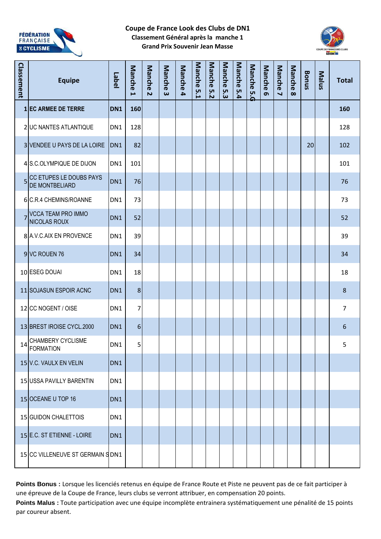

## **Coupe de France Look des Clubs de DN1 Classement Général après la manche 1 Grand Prix Souvenir Jean Masse**



| Classement | <b>Equipe</b>                                | Label           | Manche<br>L | Manche<br>$\overline{\mathbf{v}}$ | Manche<br>ω | Manche 4 | Manche<br><b>5.1</b> | Manche<br>5.2 | Manche<br>ပ္ပ | Manche<br>5.4 | Manche<br><u>်ဂိ</u> | <b>Manche</b><br>$\sigma$ | Manche<br>$\blacktriangleleft$ | Manche<br>$\infty$ | <b>Bonus</b> | Malus | <b>Total</b>   |
|------------|----------------------------------------------|-----------------|-------------|-----------------------------------|-------------|----------|----------------------|---------------|---------------|---------------|----------------------|---------------------------|--------------------------------|--------------------|--------------|-------|----------------|
|            | 1 EC ARMEE DE TERRE                          | DN <sub>1</sub> | 160         |                                   |             |          |                      |               |               |               |                      |                           |                                |                    |              |       | 160            |
|            | 2 UC NANTES ATLANTIQUE                       | DN1             | 128         |                                   |             |          |                      |               |               |               |                      |                           |                                |                    |              |       | 128            |
|            | 3 VENDEE U PAYS DE LA LOIRE                  | DN <sub>1</sub> | 82          |                                   |             |          |                      |               |               |               |                      |                           |                                |                    | 20           |       | 102            |
|            | 4 S.C.OLYMPIQUE DE DIJON                     | DN1             | 101         |                                   |             |          |                      |               |               |               |                      |                           |                                |                    |              |       | 101            |
|            | 5 CC ETUPES LE DOUBS PAYS<br>DE MONTBELIARD  | DN <sub>1</sub> | 76          |                                   |             |          |                      |               |               |               |                      |                           |                                |                    |              |       | 76             |
|            | 6 C.R.4 CHEMINS/ROANNE                       | DN1             | 73          |                                   |             |          |                      |               |               |               |                      |                           |                                |                    |              |       | 73             |
| 7          | <b>VCCA TEAM PRO IMMO</b><br>NICOLAS ROUX    | DN <sub>1</sub> | 52          |                                   |             |          |                      |               |               |               |                      |                           |                                |                    |              |       | 52             |
|            | 8 A.V.C.AIX EN PROVENCE                      | DN1             | 39          |                                   |             |          |                      |               |               |               |                      |                           |                                |                    |              |       | 39             |
|            | 9 VC ROUEN 76                                | DN <sub>1</sub> | 34          |                                   |             |          |                      |               |               |               |                      |                           |                                |                    |              |       | 34             |
|            | 10 ESEG DOUAI                                | DN1             | 18          |                                   |             |          |                      |               |               |               |                      |                           |                                |                    |              |       | 18             |
|            | 11 SOJASUN ESPOIR ACNC                       | DN <sub>1</sub> | $\bf 8$     |                                   |             |          |                      |               |               |               |                      |                           |                                |                    |              |       | $\,8\,$        |
|            | 12 CC NOGENT / OISE                          | DN1             | 7           |                                   |             |          |                      |               |               |               |                      |                           |                                |                    |              |       | $\overline{7}$ |
|            | 13 BREST IROISE CYCL.2000                    | DN <sub>1</sub> | 6           |                                   |             |          |                      |               |               |               |                      |                           |                                |                    |              |       | 6              |
| 14         | <b>CHAMBERY CYCLISME</b><br><b>FORMATION</b> | DN1             | 5           |                                   |             |          |                      |               |               |               |                      |                           |                                |                    |              |       | 5              |
|            | 15 V.C. VAULX EN VELIN                       | DN1             |             |                                   |             |          |                      |               |               |               |                      |                           |                                |                    |              |       |                |
|            | 15 USSA PAVILLY BARENTIN                     | DN1             |             |                                   |             |          |                      |               |               |               |                      |                           |                                |                    |              |       |                |
|            | 15 OCEANE U TOP 16                           | DN1             |             |                                   |             |          |                      |               |               |               |                      |                           |                                |                    |              |       |                |
|            | 15 GUIDON CHALETTOIS                         | DN1             |             |                                   |             |          |                      |               |               |               |                      |                           |                                |                    |              |       |                |
|            | 15 E.C. ST ETIENNE - LOIRE                   | DN <sub>1</sub> |             |                                   |             |          |                      |               |               |               |                      |                           |                                |                    |              |       |                |
|            | 15 CC VILLENEUVE ST GERMAIN S DN1            |                 |             |                                   |             |          |                      |               |               |               |                      |                           |                                |                    |              |       |                |

**Points Bonus :** Lorsque les licenciés retenus en équipe de France Route et Piste ne peuvent pas de ce fait participer à une épreuve de la Coupe de France, leurs clubs se verront attribuer, en compensation 20 points. **Points Malus :** Toute participation avec une équipe incomplète entrainera systématiquement une pénalité de 15 points par coureur absent.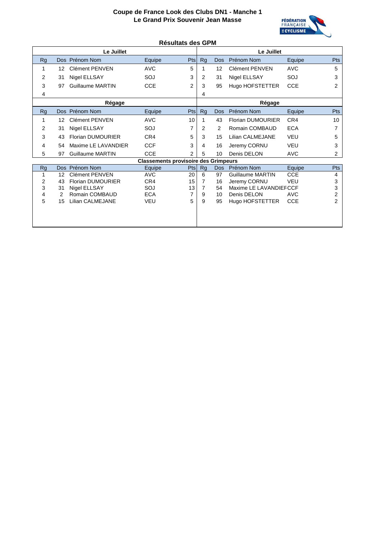

#### **Résultats des GPM**

|           | Le Juillet                     |                                             | Le Juillet     |                |            |                          |            |     |  |
|-----------|--------------------------------|---------------------------------------------|----------------|----------------|------------|--------------------------|------------|-----|--|
| Rg        | Dos Prénom Nom                 | Equipe                                      | Pts            | <b>Rg</b>      | Dos        | Prénom Nom               | Equipe     | Pts |  |
| 1         | Clément PENVEN<br>12           | <b>AVC</b>                                  | 5              |                | 12         | Clément PENVEN           | <b>AVC</b> | 5   |  |
| 2         | Nigel ELLSAY<br>31             | SOJ                                         | 3              | $\overline{2}$ | 31         | Nigel ELLSAY             | SOJ        | 3   |  |
| 3         | <b>Guillaume MARTIN</b><br>97  | <b>CCE</b>                                  | $\overline{2}$ | 3              | 95         | Hugo HOFSTETTER          | <b>CCE</b> | 2   |  |
| 4         |                                |                                             |                | 4              |            |                          |            |     |  |
|           | Régage                         |                                             |                |                |            | Régage                   |            |     |  |
| <b>Rg</b> | Dos Prénom Nom                 | Equipe                                      | Pts            | <b>Rg</b>      | Dos        | Prénom Nom               | Equipe     | Pts |  |
| 1         | Clément PFNVFN<br>12           | <b>AVC</b>                                  | 10             | 1              | 43         | <b>Florian DUMOURIER</b> | CR4        | 10  |  |
| 2         | Nigel ELLSAY<br>31             | SOJ                                         | 7              | 2              | 2          | Romain COMBAUD           | <b>ECA</b> | 7   |  |
| 3         | <b>Florian DUMOURIER</b><br>43 | CR4                                         | 5              | 3              | 15         | Lilian CALMEJANE         | VFU        | 5   |  |
| 4         | Maxime LE LAVANDIER<br>54      | <b>CCF</b>                                  | 3              | 4              | 16         | Jeremy CORNU             | <b>VEU</b> | 3   |  |
| 5         | <b>Guillaume MARTIN</b><br>97  | <b>CCE</b>                                  | $\overline{2}$ | 5              | 10         | Denis DELON              | <b>AVC</b> | 2   |  |
|           |                                | <b>Classements provisoire des Grimpeurs</b> |                |                |            |                          |            |     |  |
| Rg        | Dos Prénom Nom                 | Equipe                                      | Pts            | <b>Rg</b>      | <b>Dos</b> | Prénom Nom               | Equipe     | Pts |  |
| 1         | Clément PENVEN<br>12           | <b>AVC</b>                                  | 20             | 6              | 97         | Guillaume MARTIN         | <b>CCE</b> | 4   |  |
| 2         | <b>Florian DUMOURIER</b><br>43 | CR4                                         | 15             | $\overline{7}$ | 16         | Jeremy CORNU             | <b>VEU</b> | 3   |  |
| 3         | Nigel ELLSAY<br>31             | SOJ                                         | 13             | 7              | 54         | Maxime LE LAVANDIEF CCF  |            | 3   |  |
| 4         | Romain COMBAUD<br>2            | <b>ECA</b>                                  | 7              | 9              | 10         | Denis DELON              | <b>AVC</b> | 2   |  |
| 5         | <b>Lilian CALMEJANE</b><br>15  | <b>VEU</b>                                  | 5              | 9              | 95         | Hugo HOFSTETTER          | <b>CCE</b> | 2   |  |
|           |                                |                                             |                |                |            |                          |            |     |  |
|           |                                |                                             |                |                |            |                          |            |     |  |
|           |                                |                                             |                |                |            |                          |            |     |  |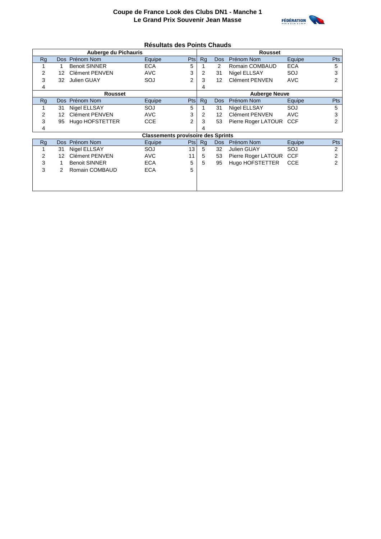

#### **Résultats des Points Chauds**

|    |    | Auberge du Pichauris  |                                           | <b>Rousset</b> |                      |            |                         |            |            |  |  |  |
|----|----|-----------------------|-------------------------------------------|----------------|----------------------|------------|-------------------------|------------|------------|--|--|--|
| Rg |    | Dos Prénom Nom        | Equipe                                    | Pts            | <b>Rg</b>            | <b>Dos</b> | Prénom Nom              | Equipe     | Pts        |  |  |  |
|    |    | <b>Benoit SINNER</b>  | <b>ECA</b>                                | 5              |                      | 2          | Romain COMBAUD          | <b>ECA</b> | 5          |  |  |  |
| 2  | 12 | <b>Clément PENVEN</b> | <b>AVC</b>                                | 3              | 2                    | 31         | Nigel ELLSAY            | SOJ        | 3          |  |  |  |
| 3  | 32 | Julien GUAY           | SOJ                                       | 2              | 3                    | 12         | Clément PENVEN          | <b>AVC</b> | 2          |  |  |  |
| 4  |    |                       |                                           |                | 4                    |            |                         |            |            |  |  |  |
|    |    | Rousset               |                                           |                | <b>Auberge Neuve</b> |            |                         |            |            |  |  |  |
| Rg |    | Dos Prénom Nom        | Equipe                                    | Pts            | Rg                   | <b>Dos</b> | Prénom Nom              | Equipe     | Pts        |  |  |  |
|    | 31 | Nigel ELLSAY          | SOJ                                       | 5              |                      | 31         | Nigel ELLSAY            | SOJ        | 5          |  |  |  |
| 2  | 12 | Clément PENVEN        | <b>AVC</b>                                | 3              | 2                    | 12         | Clément PENVEN          | <b>AVC</b> | 3          |  |  |  |
| 3  | 95 | Hugo HOFSTETTER       | <b>CCE</b>                                | $\overline{2}$ | 3                    | 53         | Pierre Roger LATOUR CCF |            | 2          |  |  |  |
| 4  |    |                       |                                           |                |                      |            |                         |            |            |  |  |  |
|    |    |                       | <b>Classements provisoire des Sprints</b> |                |                      |            |                         |            |            |  |  |  |
| Rg |    | Dos Prénom Nom        | Equipe                                    | Pts            | Rg                   | <b>Dos</b> | Prénom Nom              | Equipe     | <b>Pts</b> |  |  |  |
|    | 31 | Nigel ELLSAY          | SOJ                                       | 13             | 5                    | 32         | Julien GUAY             | SOJ        | 2          |  |  |  |
| 2  | 12 | <b>Clément PENVEN</b> | <b>AVC</b>                                | 11             | 5                    | 53         | Pierre Roger LATOUR     | <b>CCF</b> | 2          |  |  |  |
| 3  |    | <b>Benoit SINNER</b>  | <b>ECA</b>                                | 5              | 5                    | 95         | Hugo HOFSTETTER         | <b>CCE</b> |            |  |  |  |
| 3  | 2  | Romain COMBAUD        | <b>ECA</b>                                | 5              |                      |            |                         |            |            |  |  |  |
|    |    |                       |                                           |                |                      |            |                         |            |            |  |  |  |
|    |    |                       |                                           |                |                      |            |                         |            |            |  |  |  |